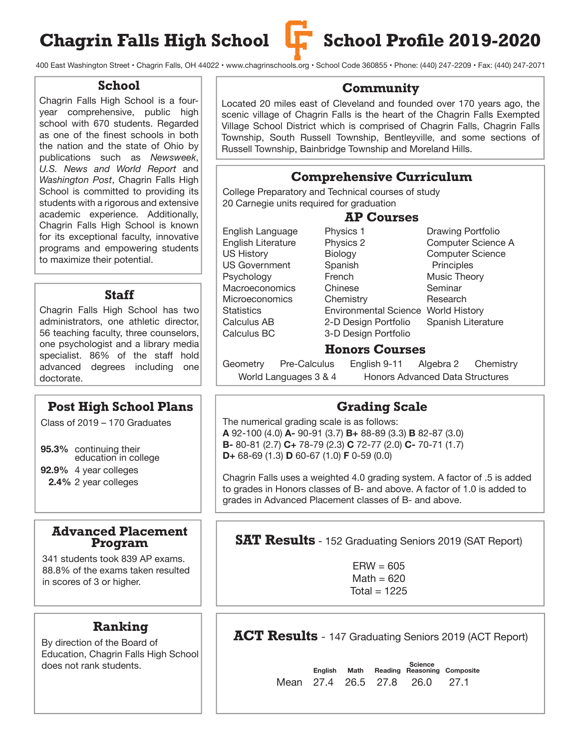# Chagrin Falls High School **L.** School Profile 2019-2020



400 East Washington Street • Chagrin Falls, OH 44022 • www.chagrinschools.org • School Code 360855 • Phone: (440) 247-2209 • Fax: (440) 247-2071

### **School**

Chagrin Falls High School is a fouryear comprehensive, public high school with 670 students. Regarded as one of the finest schools in both the nation and the state of Ohio by publications such as *Newsweek*, *U.S. News and World Report* and *Washington Post*, Chagrin Falls High School is committed to providing its students with a rigorous and extensive academic experience. Additionally, Chagrin Falls High School is known for its exceptional faculty, innovative programs and empowering students to maximize their potential.

## **Staff**

Chagrin Falls High School has two administrators, one athletic director, 56 teaching faculty, three counselors, one psychologist and a library media specialist. 86% of the staff hold advanced degrees including one doctorate.

## **Post High School Plans**

Class of 2019 – 170 Graduates

**95.3%** continuing their education in college

**92.9%** 4 year colleges

 **2.4%** 2 year colleges

### **Advanced Placement Program**

341 students took 839 AP exams. 88.8% of the exams taken resulted in scores of 3 or higher.

# **Ranking**

By direction of the Board of Education, Chagrin Falls High School does not rank students.

### **Community**

Located 20 miles east of Cleveland and founded over 170 years ago, the scenic village of Chagrin Falls is the heart of the Chagrin Falls Exempted Village School District which is comprised of Chagrin Falls, Chagrin Falls Township, South Russell Township, Bentleyville, and some sections of Russell Township, Bainbridge Township and Moreland Hills.

# **Comprehensive Curriculum**

College Preparatory and Technical courses of study 20 Carnegie units required for graduation

# **AP Courses**

| English Language      | Physics 1                    | Drawing Portfolio       |
|-----------------------|------------------------------|-------------------------|
| English Literature    | Physics 2                    | Computer Science A      |
| <b>US History</b>     | Biology                      | <b>Computer Science</b> |
| <b>US Government</b>  | Spanish                      | Principles              |
| Psychology            | French                       | Music Theory            |
| Macroeconomics        | Chinese                      | Seminar                 |
| <b>Microeconomics</b> | Chemistry                    | Research                |
| <b>Statistics</b>     | <b>Environmental Science</b> | <b>World History</b>    |
| Calculus AB           | 2-D Design Portfolio         | Spanish Literature      |
| Calculus BC           | 3-D Design Portfolio         |                         |

### **Honors Courses**

Geometry Pre-Calculus English 9-11 Algebra 2 Chemistry World Languages 3 & 4 Honors Advanced Data Structures

### **Grading Scale**

The numerical grading scale is as follows: **A** 92-100 (4.0) **A-** 90-91 (3.7) **B+** 88-89 (3.3) **B** 82-87 (3.0) **B-** 80-81 (2.7) **C+** 78-79 (2.3) **C** 72-77 (2.0) **C-** 70-71 (1.7) **D+** 68-69 (1.3) **D** 60-67 (1.0) **F** 0-59 (0.0)

Chagrin Falls uses a weighted 4.0 grading system. A factor of .5 is added to grades in Honors classes of B- and above. A factor of 1.0 is added to grades in Advanced Placement classes of B- and above.

### **SAT Results** - 152 Graduating Seniors 2019 (SAT Report)

 $ERW = 605$  $Math = 620$ Total  $= 1225$ 

**ACT Results** - 147 Graduating Seniors 2019 (ACT Report)

 **Science English Math Reading Reasoning Composite** Mean 27.4 26.5 27.8 26.0 27.1